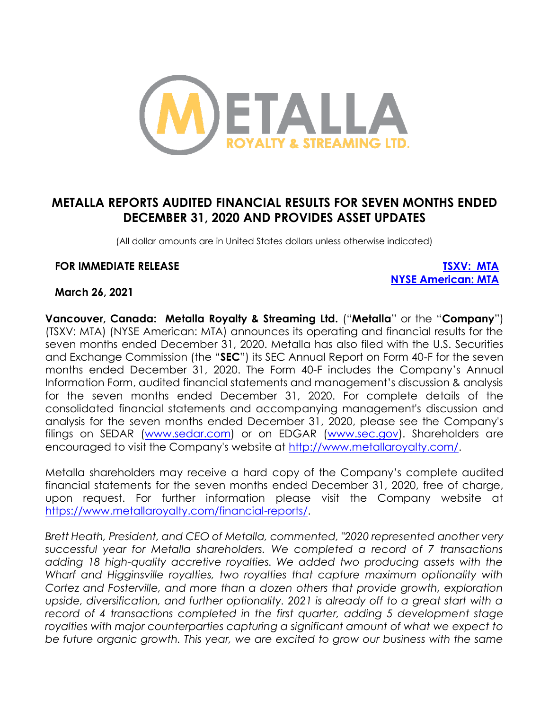

# **METALLA REPORTS AUDITED FINANCIAL RESULTS FOR SEVEN MONTHS ENDED DECEMBER 31, 2020 AND PROVIDES ASSET UPDATES**

(All dollar amounts are in United States dollars unless otherwise indicated)

#### **FOR IMMEDIATE RELEASE [TSXV: MTA](https://money.tmx.com/en/quote/MTA)**

**[NYSE American: MTA](https://www.nyse.com/quote/XASE:MTA)**

#### **March 26, 2021**

**Vancouver, Canada: Metalla Royalty & Streaming Ltd.** ("**Metalla**" or the "**Company**") (TSXV: MTA) (NYSE American: MTA) announces its operating and financial results for the seven months ended December 31, 2020. Metalla has also filed with the U.S. Securities and Exchange Commission (the "**SEC**") its SEC Annual Report on Form 40-F for the seven months ended December 31, 2020. The Form 40-F includes the Company's Annual Information Form, audited financial statements and management's discussion & analysis for the seven months ended December 31, 2020. For complete details of the consolidated financial statements and accompanying management's discussion and analysis for the seven months ended December 31, 2020, please see the Company's filings on SEDAR [\(www.sedar.com\)](http://www.sedar.com/) or on EDGAR [\(www.sec.gov\)](http://www.sec.gov/). Shareholders are encouraged to visit the Company's website at [http://www.metallaroyalty.com/.](http://www.metallaroyalty.com/)

Metalla shareholders may receive a hard copy of the Company's complete audited financial statements for the seven months ended December 31, 2020, free of charge, upon request. For further information please visit the Company website at [https://www.metallaroyalty.com/financial-reports/.](https://www.metallaroyalty.com/financial-reports/)

*Brett Heath, President, and CEO of Metalla, commented, "2020 represented another very successful year for Metalla shareholders. We completed a record of 7 transactions adding 18 high-quality accretive royalties. We added two producing assets with the Wharf and Higginsville royalties, two royalties that capture maximum optionality with Cortez and Fosterville, and more than a dozen others that provide growth, exploration upside, diversification, and further optionality. 2021 is already off to a great start with a record of 4 transactions completed in the first quarter, adding 5 development stage royalties with major counterparties capturing a significant amount of what we expect to be future organic growth. This year, we are excited to grow our business with the same*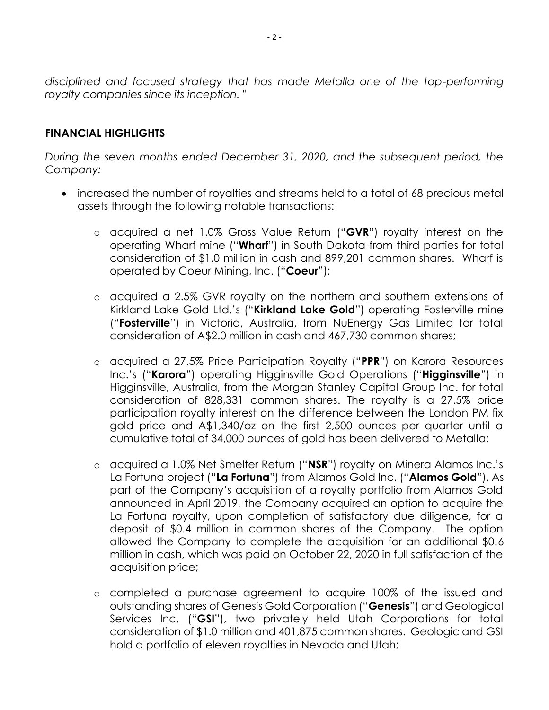*disciplined and focused strategy that has made Metalla one of the top-performing royalty companies since its inception. "*

#### **FINANCIAL HIGHLIGHTS**

*During the seven months ended December 31, 2020, and the subsequent period, the Company:*

- increased the number of royalties and streams held to a total of 68 precious metal assets through the following notable transactions:
	- o acquired a net 1.0% Gross Value Return ("**GVR**") royalty interest on the operating Wharf mine ("**Wharf**") in South Dakota from third parties for total consideration of \$1.0 million in cash and 899,201 common shares. Wharf is operated by Coeur Mining, Inc. ("**Coeur**");
	- o acquired a 2.5% GVR royalty on the northern and southern extensions of Kirkland Lake Gold Ltd.'s ("**Kirkland Lake Gold**") operating Fosterville mine ("**Fosterville**") in Victoria, Australia, from NuEnergy Gas Limited for total consideration of A\$2.0 million in cash and 467,730 common shares;
	- o acquired a 27.5% Price Participation Royalty ("**PPR**") on Karora Resources Inc.'s ("**Karora**") operating Higginsville Gold Operations ("**Higginsville**") in Higginsville, Australia, from the Morgan Stanley Capital Group Inc. for total consideration of 828,331 common shares. The royalty is a 27.5% price participation royalty interest on the difference between the London PM fix gold price and A\$1,340/oz on the first 2,500 ounces per quarter until a cumulative total of 34,000 ounces of gold has been delivered to Metalla;
	- o acquired a 1.0% Net Smelter Return ("**NSR**") royalty on Minera Alamos Inc.'s La Fortuna project ("**La Fortuna**") from Alamos Gold Inc. ("**Alamos Gold**"). As part of the Company's acquisition of a royalty portfolio from Alamos Gold announced in April 2019, the Company acquired an option to acquire the La Fortuna royalty, upon completion of satisfactory due diligence, for a deposit of \$0.4 million in common shares of the Company. The option allowed the Company to complete the acquisition for an additional \$0.6 million in cash, which was paid on October 22, 2020 in full satisfaction of the acquisition price;
	- o completed a purchase agreement to acquire 100% of the issued and outstanding shares of Genesis Gold Corporation ("**Genesis**") and Geological Services Inc. ("**GSI**"), two privately held Utah Corporations for total consideration of \$1.0 million and 401,875 common shares. Geologic and GSI hold a portfolio of eleven royalties in Nevada and Utah;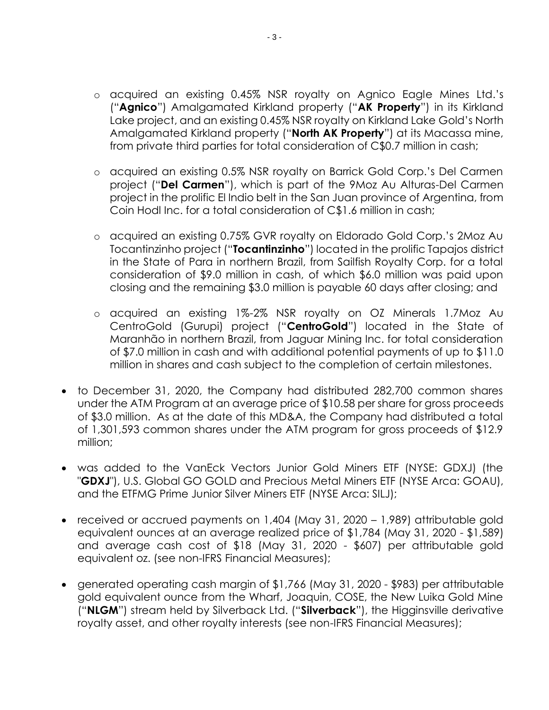- o acquired an existing 0.45% NSR royalty on Agnico Eagle Mines Ltd.'s ("**Agnico**") Amalgamated Kirkland property ("**AK Property**") in its Kirkland Lake project, and an existing 0.45% NSR royalty on Kirkland Lake Gold's North Amalgamated Kirkland property ("**North AK Property**") at its Macassa mine, from private third parties for total consideration of C\$0.7 million in cash;
- o acquired an existing 0.5% NSR royalty on Barrick Gold Corp.'s Del Carmen project ("**Del Carmen**"), which is part of the 9Moz Au Alturas-Del Carmen project in the prolific El Indio belt in the San Juan province of Argentina, from Coin Hodl Inc. for a total consideration of C\$1.6 million in cash;
- o acquired an existing 0.75% GVR royalty on Eldorado Gold Corp.'s 2Moz Au Tocantinzinho project ("**Tocantinzinho**") located in the prolific Tapajos district in the State of Para in northern Brazil, from Sailfish Royalty Corp. for a total consideration of \$9.0 million in cash, of which \$6.0 million was paid upon closing and the remaining \$3.0 million is payable 60 days after closing; and
- o acquired an existing 1%-2% NSR royalty on OZ Minerals 1.7Moz Au CentroGold (Gurupi) project ("**CentroGold**") located in the State of Maranhão in northern Brazil, from Jaguar Mining Inc. for total consideration of \$7.0 million in cash and with additional potential payments of up to \$11.0 million in shares and cash subject to the completion of certain milestones.
- to December 31, 2020, the Company had distributed 282,700 common shares under the ATM Program at an average price of \$10.58 per share for gross proceeds of \$3.0 million. As at the date of this MD&A, the Company had distributed a total of 1,301,593 common shares under the ATM program for gross proceeds of \$12.9 million;
- was added to the VanEck Vectors Junior Gold Miners ETF (NYSE: GDXJ) (the "**GDXJ**"), U.S. Global GO GOLD and Precious Metal Miners ETF (NYSE Arca: GOAU), and the ETFMG Prime Junior Silver Miners ETF (NYSE Arca: SILJ);
- received or accrued payments on 1,404 (May 31, 2020 1,989) attributable gold equivalent ounces at an average realized price of \$1,784 (May 31, 2020 - \$1,589) and average cash cost of \$18 (May 31, 2020 - \$607) per attributable gold equivalent oz. (see non-IFRS Financial Measures);
- generated operating cash margin of \$1,766 (May 31, 2020 \$983) per attributable gold equivalent ounce from the Wharf, Joaquin, COSE, the New Luika Gold Mine ("**NLGM**") stream held by Silverback Ltd. ("**Silverback**"), the Higginsville derivative royalty asset, and other royalty interests (see non-IFRS Financial Measures);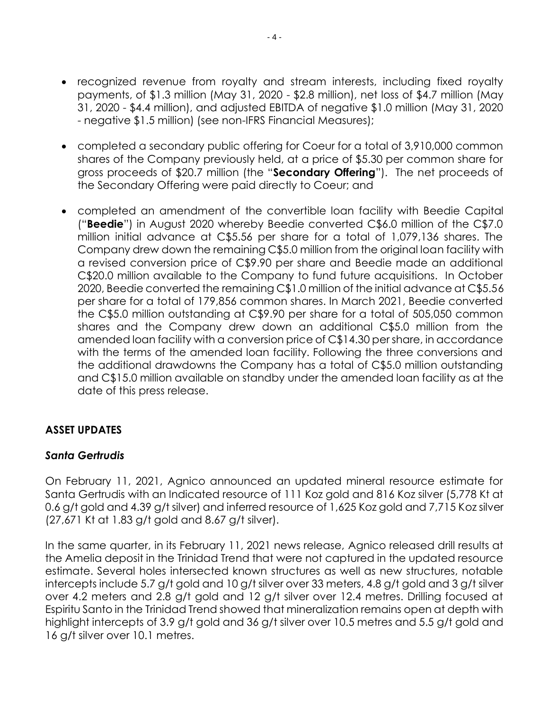- recognized revenue from royalty and stream interests, including fixed royalty payments, of \$1.3 million (May 31, 2020 - \$2.8 million), net loss of \$4.7 million (May 31, 2020 - \$4.4 million), and adjusted EBITDA of negative \$1.0 million (May 31, 2020 - negative \$1.5 million) (see non-IFRS Financial Measures);
- completed a secondary public offering for Coeur for a total of 3,910,000 common shares of the Company previously held, at a price of \$5.30 per common share for gross proceeds of \$20.7 million (the "**Secondary Offering**"). The net proceeds of the Secondary Offering were paid directly to Coeur; and
- completed an amendment of the convertible loan facility with Beedie Capital ("**Beedie**") in August 2020 whereby Beedie converted C\$6.0 million of the C\$7.0 million initial advance at C\$5.56 per share for a total of 1,079,136 shares. The Company drew down the remaining C\$5.0 million from the original loan facility with a revised conversion price of C\$9.90 per share and Beedie made an additional C\$20.0 million available to the Company to fund future acquisitions. In October 2020, Beedie converted the remaining C\$1.0 million of the initial advance at C\$5.56 per share for a total of 179,856 common shares. In March 2021, Beedie converted the C\$5.0 million outstanding at C\$9.90 per share for a total of 505,050 common shares and the Company drew down an additional C\$5.0 million from the amended loan facility with a conversion price of C\$14.30 per share, in accordance with the terms of the amended loan facility. Following the three conversions and the additional drawdowns the Company has a total of C\$5.0 million outstanding and C\$15.0 million available on standby under the amended loan facility as at the date of this press release.

#### **ASSET UPDATES**

#### *Santa Gertrudis*

On February 11, 2021, Agnico announced an updated mineral resource estimate for Santa Gertrudis with an Indicated resource of 111 Koz gold and 816 Koz silver (5,778 Kt at 0.6 g/t gold and 4.39 g/t silver) and inferred resource of 1,625 Koz gold and 7,715 Koz silver (27,671 Kt at 1.83 g/t gold and 8.67 g/t silver).

In the same quarter, in its February 11, 2021 news release, Agnico released drill results at the Amelia deposit in the Trinidad Trend that were not captured in the updated resource estimate. Several holes intersected known structures as well as new structures, notable intercepts include 5.7 g/t gold and 10 g/t silver over 33 meters, 4.8 g/t gold and 3 g/t silver over 4.2 meters and 2.8 g/t gold and 12 g/t silver over 12.4 metres. Drilling focused at Espiritu Santo in the Trinidad Trend showed that mineralization remains open at depth with highlight intercepts of 3.9 g/t gold and 36 g/t silver over 10.5 metres and 5.5 g/t gold and 16 g/t silver over 10.1 metres.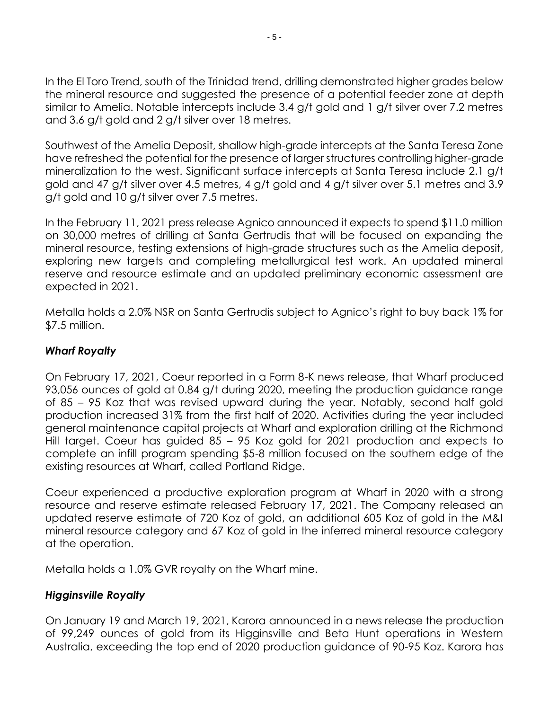In the El Toro Trend, south of the Trinidad trend, drilling demonstrated higher grades below the mineral resource and suggested the presence of a potential feeder zone at depth similar to Amelia. Notable intercepts include 3.4 g/t gold and 1 g/t silver over 7.2 metres and 3.6 g/t gold and 2 g/t silver over 18 metres.

Southwest of the Amelia Deposit, shallow high-grade intercepts at the Santa Teresa Zone have refreshed the potential for the presence of larger structures controlling higher-grade mineralization to the west. Significant surface intercepts at Santa Teresa include 2.1 g/t gold and 47 g/t silver over 4.5 metres, 4 g/t gold and 4 g/t silver over 5.1 metres and 3.9 g/t gold and 10 g/t silver over 7.5 metres.

In the February 11, 2021 press release Agnico announced it expects to spend \$11.0 million on 30,000 metres of drilling at Santa Gertrudis that will be focused on expanding the mineral resource, testing extensions of high-grade structures such as the Amelia deposit, exploring new targets and completing metallurgical test work. An updated mineral reserve and resource estimate and an updated preliminary economic assessment are expected in 2021.

Metalla holds a 2.0% NSR on Santa Gertrudis subject to Agnico's right to buy back 1% for \$7.5 million.

## *Wharf Royalty*

On February 17, 2021, Coeur reported in a Form 8-K news release, that Wharf produced 93,056 ounces of gold at 0.84 g/t during 2020, meeting the production guidance range of 85 – 95 Koz that was revised upward during the year. Notably, second half gold production increased 31% from the first half of 2020. Activities during the year included general maintenance capital projects at Wharf and exploration drilling at the Richmond Hill target. Coeur has guided 85 – 95 Koz gold for 2021 production and expects to complete an infill program spending \$5-8 million focused on the southern edge of the existing resources at Wharf, called Portland Ridge.

Coeur experienced a productive exploration program at Wharf in 2020 with a strong resource and reserve estimate released February 17, 2021. The Company released an updated reserve estimate of 720 Koz of gold, an additional 605 Koz of gold in the M&I mineral resource category and 67 Koz of gold in the inferred mineral resource category at the operation.

Metalla holds a 1.0% GVR royalty on the Wharf mine.

## *Higginsville Royalty*

On January 19 and March 19, 2021, Karora announced in a news release the production of 99,249 ounces of gold from its Higginsville and Beta Hunt operations in Western Australia, exceeding the top end of 2020 production guidance of 90-95 Koz. Karora has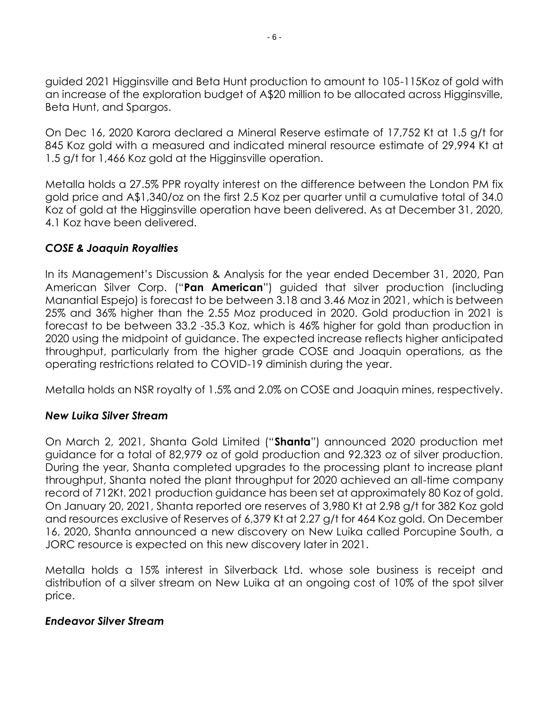guided 2021 Higginsville and Beta Hunt production to amount to 105-115Koz of gold with an increase of the exploration budget of A\$20 million to be allocated across Higginsville, Beta Hunt, and Spargos.

On Dec 16, 2020 Karora declared a Mineral Reserve estimate of 17,752 Kt at 1.5 g/t for 845 Koz gold with a measured and indicated mineral resource estimate of 29,994 Kt at 1.5 g/t for 1,466 Koz gold at the Higginsville operation.

Metalla holds a 27.5% PPR royalty interest on the difference between the London PM fix gold price and A\$1,340/oz on the first 2.5 Koz per quarter until a cumulative total of 34.0 Koz of gold at the Higginsville operation have been delivered. As at December 31, 2020, 4.1 Koz have been delivered.

#### *COSE & Joaquin Royalties*

In its Management's Discussion & Analysis for the year ended December 31, 2020, Pan American Silver Corp. ("**Pan American**") guided that silver production (including Manantial Espejo) is forecast to be between 3.18 and 3.46 Moz in 2021, which is between 25% and 36% higher than the 2.55 Moz produced in 2020. Gold production in 2021 is forecast to be between 33.2 -35.3 Koz, which is 46% higher for gold than production in 2020 using the midpoint of guidance. The expected increase reflects higher anticipated throughput, particularly from the higher grade COSE and Joaquin operations, as the operating restrictions related to COVID-19 diminish during the year.

Metalla holds an NSR royalty of 1.5% and 2.0% on COSE and Joaquin mines, respectively.

## *New Luika Silver Stream*

On March 2, 2021, Shanta Gold Limited ("**Shanta**") announced 2020 production met guidance for a total of 82,979 oz of gold production and 92,323 oz of silver production. During the year, Shanta completed upgrades to the processing plant to increase plant throughput, Shanta noted the plant throughput for 2020 achieved an all-time company record of 712Kt. 2021 production guidance has been set at approximately 80 Koz of gold. On January 20, 2021, Shanta reported ore reserves of 3,980 Kt at 2.98 g/t for 382 Koz gold and resources exclusive of Reserves of 6,379 Kt at 2.27 g/t for 464 Koz gold. On December 16, 2020, Shanta announced a new discovery on New Luika called Porcupine South, a JORC resource is expected on this new discovery later in 2021.

Metalla holds a 15% interest in Silverback Ltd. whose sole business is receipt and distribution of a silver stream on New Luika at an ongoing cost of 10% of the spot silver price.

#### *Endeavor Silver Stream*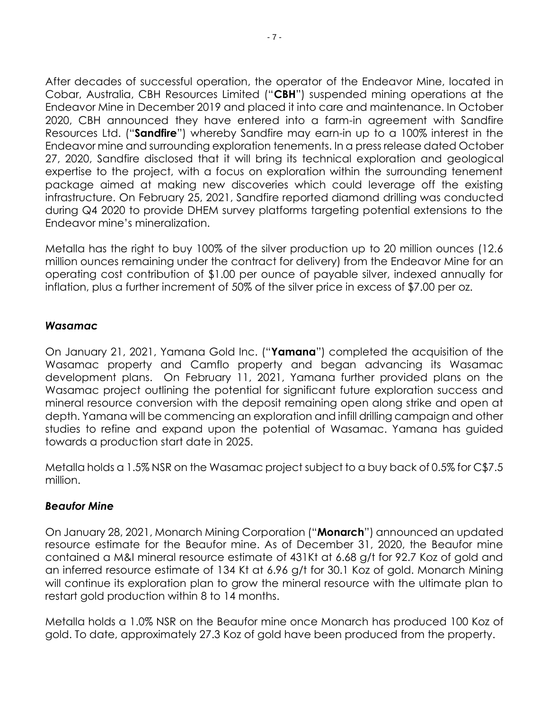After decades of successful operation, the operator of the Endeavor Mine, located in Cobar, Australia, CBH Resources Limited ("**CBH**") suspended mining operations at the Endeavor Mine in December 2019 and placed it into care and maintenance. In October 2020, CBH announced they have entered into a farm-in agreement with Sandfire Resources Ltd. ("**Sandfire**") whereby Sandfire may earn-in up to a 100% interest in the Endeavor mine and surrounding exploration tenements. In a press release dated October 27, 2020, Sandfire disclosed that it will bring its technical exploration and geological expertise to the project, with a focus on exploration within the surrounding tenement package aimed at making new discoveries which could leverage off the existing infrastructure. On February 25, 2021, Sandfire reported diamond drilling was conducted during Q4 2020 to provide DHEM survey platforms targeting potential extensions to the Endeavor mine's mineralization.

Metalla has the right to buy 100% of the silver production up to 20 million ounces (12.6 million ounces remaining under the contract for delivery) from the Endeavor Mine for an operating cost contribution of \$1.00 per ounce of payable silver, indexed annually for inflation, plus a further increment of 50% of the silver price in excess of \$7.00 per oz.

#### *Wasamac*

On January 21, 2021, Yamana Gold Inc. ("**Yamana**") completed the acquisition of the Wasamac property and Camflo property and began advancing its Wasamac development plans. On February 11, 2021, Yamana further provided plans on the Wasamac project outlining the potential for significant future exploration success and mineral resource conversion with the deposit remaining open along strike and open at depth. Yamana will be commencing an exploration and infill drilling campaign and other studies to refine and expand upon the potential of Wasamac. Yamana has guided towards a production start date in 2025.

Metalla holds a 1.5% NSR on the Wasamac project subject to a buy back of 0.5% for C\$7.5 million.

#### *Beaufor Mine*

On January 28, 2021, Monarch Mining Corporation ("**Monarch**") announced an updated resource estimate for the Beaufor mine. As of December 31, 2020, the Beaufor mine contained a M&I mineral resource estimate of 431Kt at 6.68 g/t for 92.7 Koz of gold and an inferred resource estimate of 134 Kt at 6.96 g/t for 30.1 Koz of gold. Monarch Mining will continue its exploration plan to grow the mineral resource with the ultimate plan to restart gold production within 8 to 14 months.

Metalla holds a 1.0% NSR on the Beaufor mine once Monarch has produced 100 Koz of gold. To date, approximately 27.3 Koz of gold have been produced from the property.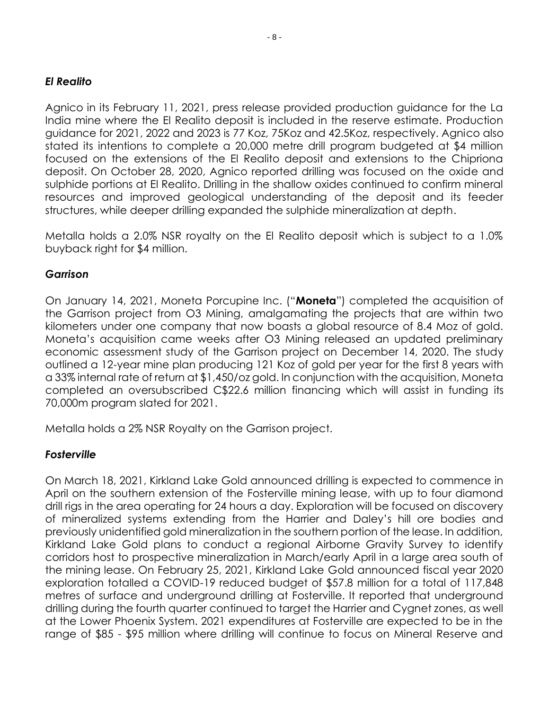#### *El Realito*

Agnico in its February 11, 2021, press release provided production guidance for the La India mine where the El Realito deposit is included in the reserve estimate. Production guidance for 2021, 2022 and 2023 is 77 Koz, 75Koz and 42.5Koz, respectively. Agnico also stated its intentions to complete a 20,000 metre drill program budgeted at \$4 million focused on the extensions of the El Realito deposit and extensions to the Chipriona deposit. On October 28, 2020, Agnico reported drilling was focused on the oxide and sulphide portions at El Realito. Drilling in the shallow oxides continued to confirm mineral resources and improved geological understanding of the deposit and its feeder structures, while deeper drilling expanded the sulphide mineralization at depth.

Metalla holds a 2.0% NSR royalty on the El Realito deposit which is subject to a 1.0% buyback right for \$4 million.

#### *Garrison*

On January 14, 2021, Moneta Porcupine Inc. ("**Moneta**") completed the acquisition of the Garrison project from O3 Mining, amalgamating the projects that are within two kilometers under one company that now boasts a global resource of 8.4 Moz of gold. Moneta's acquisition came weeks after O3 Mining released an updated preliminary economic assessment study of the Garrison project on December 14, 2020. The study outlined a 12-year mine plan producing 121 Koz of gold per year for the first 8 years with a 33% internal rate of return at \$1,450/oz gold. In conjunction with the acquisition, Moneta completed an oversubscribed C\$22.6 million financing which will assist in funding its 70,000m program slated for 2021.

Metalla holds a 2% NSR Royalty on the Garrison project.

#### *Fosterville*

On March 18, 2021, Kirkland Lake Gold announced drilling is expected to commence in April on the southern extension of the Fosterville mining lease, with up to four diamond drill rigs in the area operating for 24 hours a day. Exploration will be focused on discovery of mineralized systems extending from the Harrier and Daley's hill ore bodies and previously unidentified gold mineralization in the southern portion of the lease. In addition, Kirkland Lake Gold plans to conduct a regional Airborne Gravity Survey to identify corridors host to prospective mineralization in March/early April in a large area south of the mining lease. On February 25, 2021, Kirkland Lake Gold announced fiscal year 2020 exploration totalled a COVID-19 reduced budget of \$57.8 million for a total of 117,848 metres of surface and underground drilling at Fosterville. It reported that underground drilling during the fourth quarter continued to target the Harrier and Cygnet zones, as well at the Lower Phoenix System. 2021 expenditures at Fosterville are expected to be in the range of \$85 - \$95 million where drilling will continue to focus on Mineral Reserve and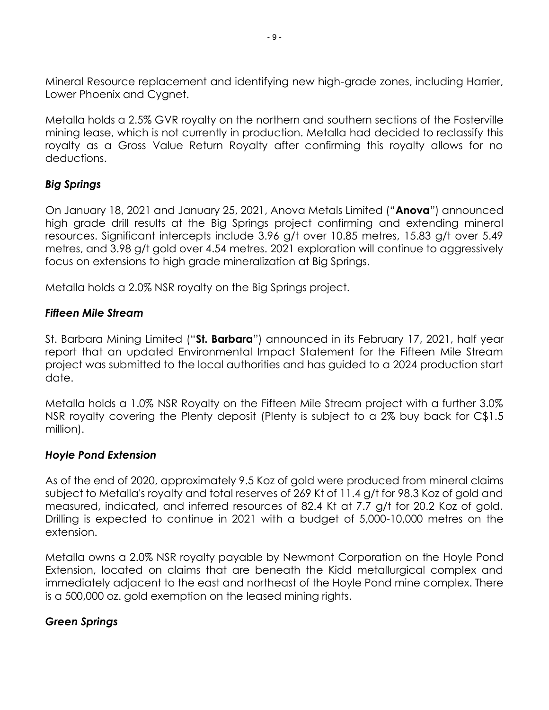Mineral Resource replacement and identifying new high-grade zones, including Harrier, Lower Phoenix and Cygnet.

Metalla holds a 2.5% GVR royalty on the northern and southern sections of the Fosterville mining lease, which is not currently in production. Metalla had decided to reclassify this royalty as a Gross Value Return Royalty after confirming this royalty allows for no deductions.

## *Big Springs*

On January 18, 2021 and January 25, 2021, Anova Metals Limited ("**Anova**") announced high grade drill results at the Big Springs project confirming and extending mineral resources. Significant intercepts include 3.96 g/t over 10.85 metres, 15.83 g/t over 5.49 metres, and 3.98 g/t gold over 4.54 metres. 2021 exploration will continue to aggressively focus on extensions to high grade mineralization at Big Springs.

Metalla holds a 2.0% NSR royalty on the Big Springs project.

## *Fifteen Mile Stream*

St. Barbara Mining Limited ("**St. Barbara**") announced in its February 17, 2021, half year report that an updated Environmental Impact Statement for the Fifteen Mile Stream project was submitted to the local authorities and has guided to a 2024 production start date.

Metalla holds a 1.0% NSR Royalty on the Fifteen Mile Stream project with a further 3.0% NSR royalty covering the Plenty deposit (Plenty is subject to a 2% buy back for C\$1.5 million).

#### *Hoyle Pond Extension*

As of the end of 2020, approximately 9.5 Koz of gold were produced from mineral claims subject to Metalla's royalty and total reserves of 269 Kt of 11.4 g/t for 98.3 Koz of gold and measured, indicated, and inferred resources of 82.4 Kt at 7.7 g/t for 20.2 Koz of gold. Drilling is expected to continue in 2021 with a budget of 5,000-10,000 metres on the extension.

Metalla owns a 2.0% NSR royalty payable by Newmont Corporation on the Hoyle Pond Extension, located on claims that are beneath the Kidd metallurgical complex and immediately adjacent to the east and northeast of the Hoyle Pond mine complex. There is a 500,000 oz. gold exemption on the leased mining rights.

## *Green Springs*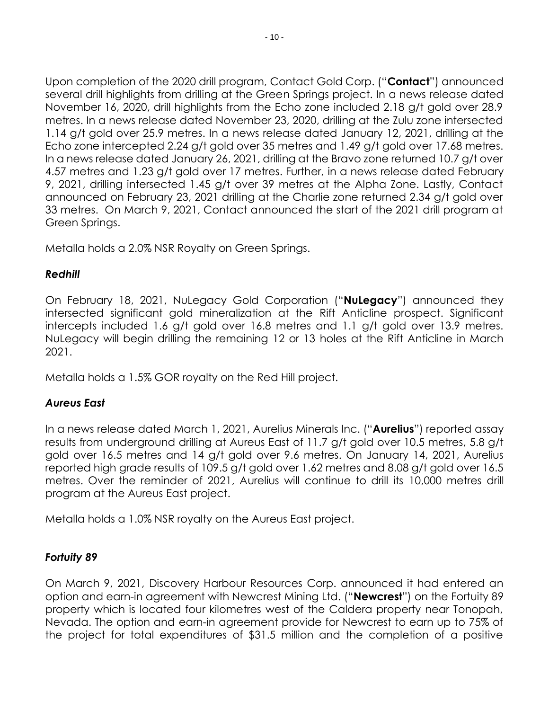Upon completion of the 2020 drill program, Contact Gold Corp. ("**Contact**") announced several drill highlights from drilling at the Green Springs project. In a news release dated November 16, 2020, drill highlights from the Echo zone included 2.18 g/t gold over 28.9 metres. In a news release dated November 23, 2020, drilling at the Zulu zone intersected 1.14 g/t gold over 25.9 metres. In a news release dated January 12, 2021, drilling at the Echo zone intercepted 2.24 g/t gold over 35 metres and 1.49 g/t gold over 17.68 metres. In a news release dated January 26, 2021, drilling at the Bravo zone returned 10.7 g/t over 4.57 metres and 1.23 g/t gold over 17 metres. Further, in a news release dated February 9, 2021, drilling intersected 1.45 g/t over 39 metres at the Alpha Zone. Lastly, Contact announced on February 23, 2021 drilling at the Charlie zone returned 2.34 g/t gold over 33 metres. On March 9, 2021, Contact announced the start of the 2021 drill program at Green Springs.

Metalla holds a 2.0% NSR Royalty on Green Springs.

## *Redhill*

On February 18, 2021, NuLegacy Gold Corporation ("**NuLegacy**") announced they intersected significant gold mineralization at the Rift Anticline prospect. Significant intercepts included 1.6 g/t gold over 16.8 metres and 1.1 g/t gold over 13.9 metres. NuLegacy will begin drilling the remaining 12 or 13 holes at the Rift Anticline in March 2021.

Metalla holds a 1.5% GOR royalty on the Red Hill project.

## *Aureus East*

In a news release dated March 1, 2021, Aurelius Minerals Inc. ("**Aurelius**") reported assay results from underground drilling at Aureus East of 11.7 g/t gold over 10.5 metres, 5.8 g/t gold over 16.5 metres and 14 g/t gold over 9.6 metres. On January 14, 2021, Aurelius reported high grade results of 109.5 g/t gold over 1.62 metres and 8.08 g/t gold over 16.5 metres. Over the reminder of 2021, Aurelius will continue to drill its 10,000 metres drill program at the Aureus East project.

Metalla holds a 1.0% NSR royalty on the Aureus East project.

## *Fortuity 89*

On March 9, 2021, Discovery Harbour Resources Corp. announced it had entered an option and earn-in agreement with Newcrest Mining Ltd. ("**Newcrest**") on the Fortuity 89 property which is located four kilometres west of the Caldera property near Tonopah, Nevada. The option and earn-in agreement provide for Newcrest to earn up to 75% of the project for total expenditures of \$31.5 million and the completion of a positive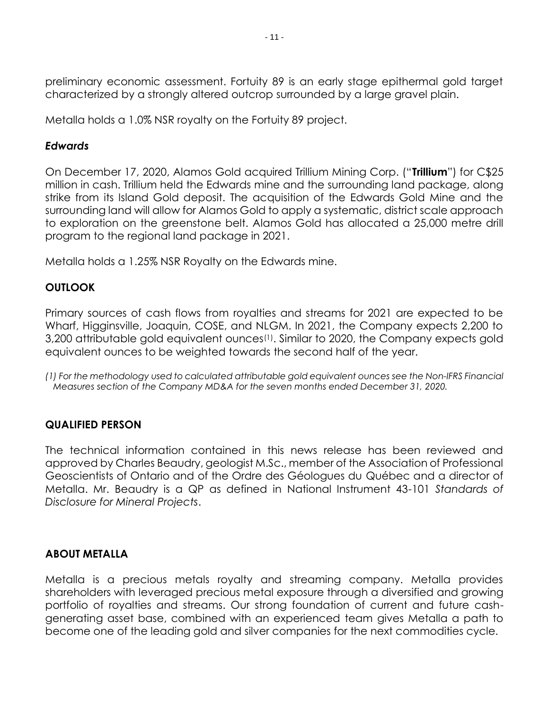preliminary economic assessment. Fortuity 89 is an early stage epithermal gold target characterized by a strongly altered outcrop surrounded by a large gravel plain.

Metalla holds a 1.0% NSR royalty on the Fortuity 89 project.

#### *Edwards*

On December 17, 2020, Alamos Gold acquired Trillium Mining Corp. ("**Trillium**") for C\$25 million in cash. Trillium held the Edwards mine and the surrounding land package, along strike from its Island Gold deposit. The acquisition of the Edwards Gold Mine and the surrounding land will allow for Alamos Gold to apply a systematic, district scale approach to exploration on the greenstone belt. Alamos Gold has allocated a 25,000 metre drill program to the regional land package in 2021.

Metalla holds a 1.25% NSR Royalty on the Edwards mine.

## **OUTLOOK**

Primary sources of cash flows from royalties and streams for 2021 are expected to be Wharf, Higginsville, Joaquin, COSE, and NLGM. In 2021, the Company expects 2,200 to 3,200 attributable gold equivalent ounces<sup>(1)</sup>. Similar to 2020, the Company expects gold equivalent ounces to be weighted towards the second half of the year.

*(1) For the methodology used to calculated attributable gold equivalent ounces see the Non-IFRS Financial Measures section of the Company MD&A for the seven months ended December 31, 2020.*

## **QUALIFIED PERSON**

The technical information contained in this news release has been reviewed and approved by Charles Beaudry, geologist M.Sc., member of the Association of Professional Geoscientists of Ontario and of the Ordre des Géologues du Québec and a director of Metalla. Mr. Beaudry is a QP as defined in National Instrument 43-101 *Standards of Disclosure for Mineral Projects*.

#### **ABOUT METALLA**

Metalla is a precious metals royalty and streaming company. Metalla provides shareholders with leveraged precious metal exposure through a diversified and growing portfolio of royalties and streams. Our strong foundation of current and future cashgenerating asset base, combined with an experienced team gives Metalla a path to become one of the leading gold and silver companies for the next commodities cycle.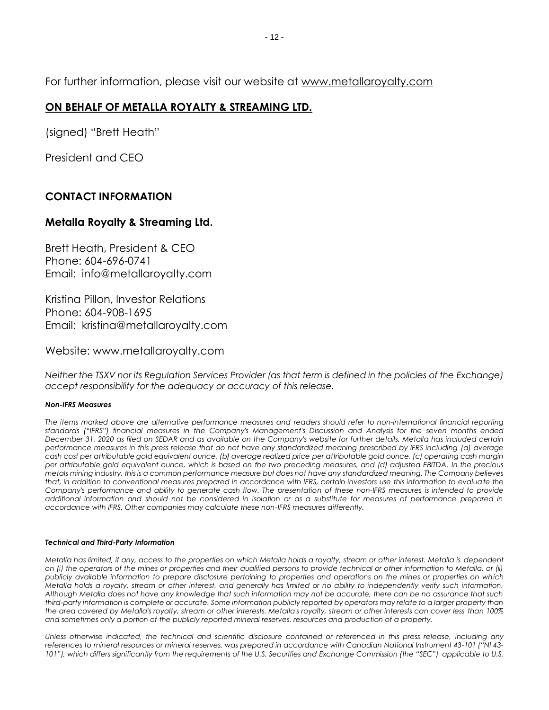For further information, please visit our website at [www.metallaroyalty.com](http://www.metallaroyalty.com/)

#### **ON BEHALF OF METALLA ROYALTY & STREAMING LTD.**

(signed) "Brett Heath"

President and CEO

#### **CONTACT INFORMATION**

#### **Metalla Royalty & Streaming Ltd.**

Brett Heath, President & CEO Phone: [604-696-0741](tel:604-696-0741) Email: info@metallaroyalty.com

Kristina Pillon, Investor Relations Phone: 604-908-1695 Email: kristina@metallaroyalty.com

Website: [www.metallaroyalty.com](http://www.metallaroyalty.com/)

*Neither the TSXV nor its Regulation Services Provider (as that term is defined in the policies of the Exchange) accept responsibility for the adequacy or accuracy of this release.*

#### *Non-IFRS Measures*

*The items marked above are alternative performance measures and readers should refer to non-international financial reporting standards ("IFRS") financial measures in the Company's Management's Discussion and Analysis for the seven months ended December 31, 2020 as filed on SEDAR and as available on the Company's website for further details. Metalla has included certain performance measures in this press release that do not have any standardized meaning prescribed by IFRS including (a) average cash cost per attributable gold equivalent ounce, (b) average realized price per attributable gold ounce, (c) operating cash margin per attributable gold equivalent ounce, which is based on the two preceding measures, and (d) adjusted EBITDA. In the precious metals mining industry, this is a common performance measure but does not have any standardized meaning. The Company believes that, in addition to conventional measures prepared in accordance with IFRS, certain investors use this information to evaluate the Company's performance and ability to generate cash flow. The presentation of these non-IFRS measures is intended to provide additional information and should not be considered in isolation or as a substitute for measures of performance prepared in accordance with IFRS. Other companies may calculate these non-IFRS measures differently.*

#### *Technical and Third-Party Information*

*Metalla has limited, if any, access to the properties on which Metalla holds a royalty, stream or other interest. Metalla is dependent on (i) the operators of the mines or properties and their qualified persons to provide technical or other information to Metalla, or (ii) publicly available information to prepare disclosure pertaining to properties and operations on the mines or properties on which Metalla holds a royalty, stream or other interest, and generally has limited or no ability to independently verify such information. Although Metalla does not have any knowledge that such information may not be accurate, there can be no assurance that such third-party information is complete or accurate. Some information publicly reported by operators may relate to a larger property than the area covered by Metalla's royalty, stream or other interests. Metalla's royalty, stream or other interests can cover less than 100% and sometimes only a portion of the publicly reported mineral reserves, resources and production of a property.*

*Unless otherwise indicated, the technical and scientific disclosure contained or referenced in this press release, including any references to mineral resources or mineral reserves, was prepared in accordance with Canadian National Instrument 43-101 ("NI 43- 101"), which differs significantly from the requirements of the U.S. Securities and Exchange Commission (the "SEC") applicable to U.S.*